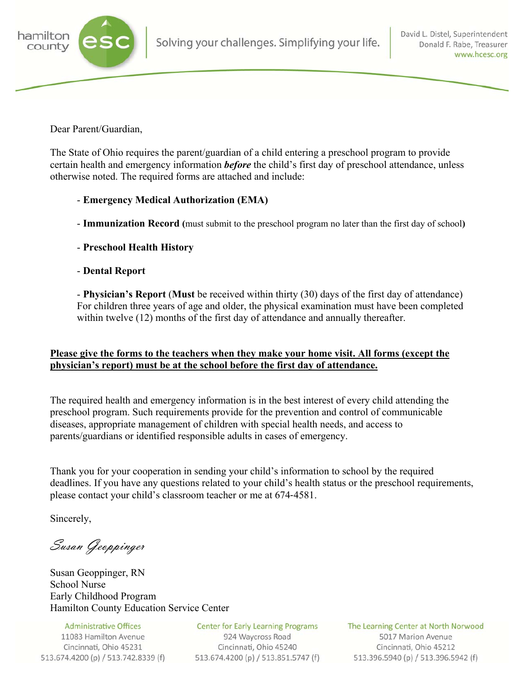

Dear Parent/Guardian,

The State of Ohio requires the parent/guardian of a child entering a preschool program to provide certain health and emergency information *before* the child's first day of preschool attendance, unless otherwise noted. The required forms are attached and include:

## - **Emergency Medical Authorization (EMA)**

- **Immunization Record (**must submit to the preschool program no later than the first day of school**)**
- **Preschool Health History**
- **Dental Report**

 - **Physician's Report** (**Must** be received within thirty (30) days of the first day of attendance) For children three years of age and older, the physical examination must have been completed within twelve (12) months of the first day of attendance and annually thereafter.

## **Please give the forms to the teachers when they make your home visit. All forms (except the physician's report) must be at the school before the first day of attendance.**

The required health and emergency information is in the best interest of every child attending the preschool program. Such requirements provide for the prevention and control of communicable diseases, appropriate management of children with special health needs, and access to parents/guardians or identified responsible adults in cases of emergency.

Thank you for your cooperation in sending your child's information to school by the required deadlines. If you have any questions related to your child's health status or the preschool requirements, please contact your child's classroom teacher or me at 674-4581.

Sincerely,

Susan Geoppinger

Susan Geoppinger, RN School Nurse Early Childhood Program Hamilton County Education Service Center

**Administrative Offices** 11083 Hamilton Avenue Cincinnati, Ohio 45231 513.674.4200 (p) / 513.742.8339 (f)

**Center for Early Learning Programs** 924 Waycross Road Cincinnati, Ohio 45240 513.674.4200 (p) / 513.851.5747 (f) The Learning Center at North Norwood 5017 Marion Avenue Cincinnati, Ohio 45212 513.396.5940 (p) / 513.396.5942 (f)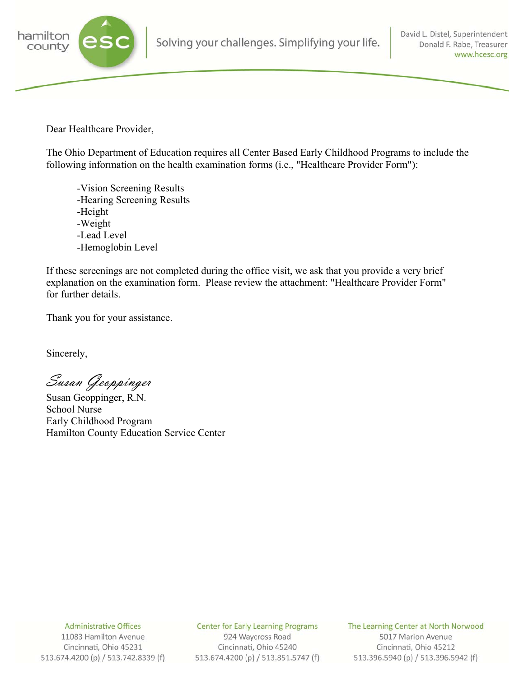

Dear Healthcare Provider,

The Ohio Department of Education requires all Center Based Early Childhood Programs to include the following information on the health examination forms (i.e., "Healthcare Provider Form"):

 -Vision Screening Results -Hearing Screening Results -Height -Weight -Lead Level -Hemoglobin Level

If these screenings are not completed during the office visit, we ask that you provide a very brief explanation on the examination form. Please review the attachment: "Healthcare Provider Form" for further details.

Thank you for your assistance.

Sincerely,

Susan Geoppinger

Susan Geoppinger, R.N. School Nurse Early Childhood Program Hamilton County Education Service Center

**Administrative Offices** 

11083 Hamilton Avenue Cincinnati, Ohio 45231 513.674.4200 (p) / 513.742.8339 (f) **Center for Early Learning Programs** 

924 Waycross Road Cincinnati, Ohio 45240 513.674.4200 (p) / 513.851.5747 (f) The Learning Center at North Norwood 5017 Marion Avenue Cincinnati, Ohio 45212 513.396.5940 (p) / 513.396.5942 (f)